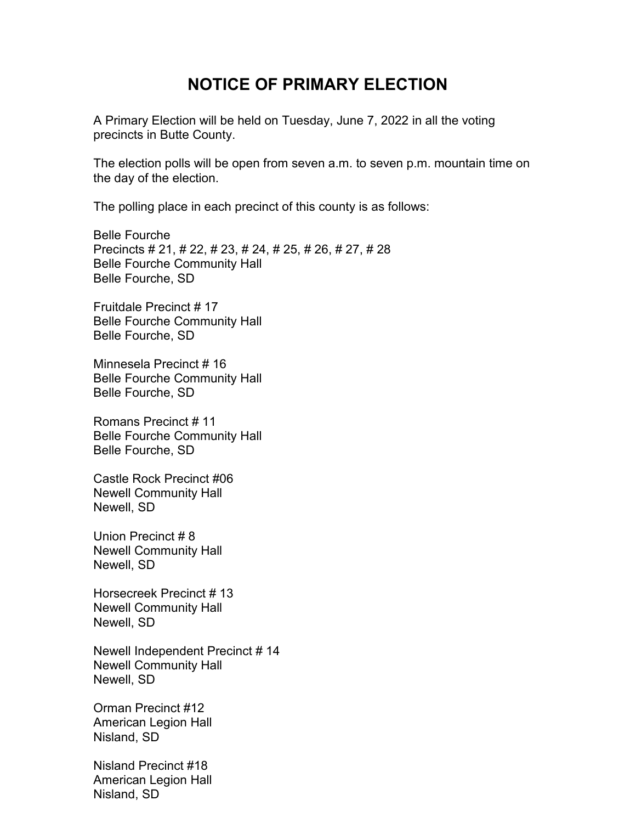## **NOTICE OF PRIMARY ELECTION**

A Primary Election will be held on Tuesday, June 7, 2022 in all the voting precincts in Butte County.

The election polls will be open from seven a.m. to seven p.m. mountain time on the day of the election.

The polling place in each precinct of this county is as follows:

Belle Fourche Precincts # 21, # 22, # 23, # 24, # 25, # 26, # 27, # 28 Belle Fourche Community Hall Belle Fourche, SD

Fruitdale Precinct # 17 Belle Fourche Community Hall Belle Fourche, SD

Minnesela Precinct # 16 Belle Fourche Community Hall Belle Fourche, SD

Romans Precinct # 11 Belle Fourche Community Hall Belle Fourche, SD

Castle Rock Precinct #06 Newell Community Hall Newell, SD

Union Precinct # 8 Newell Community Hall Newell, SD

Horsecreek Precinct # 13 Newell Community Hall Newell, SD

Newell Independent Precinct # 14 Newell Community Hall Newell, SD

Orman Precinct #12 American Legion Hall Nisland, SD

Nisland Precinct #18 American Legion Hall Nisland, SD